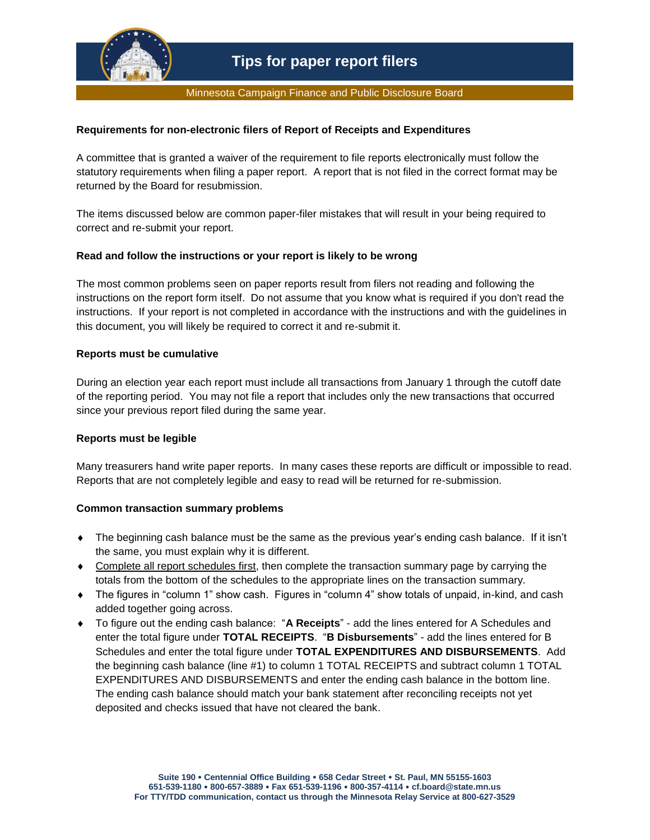

#### Minnesota Campaign Finance and Public Disclosure Board

## **Requirements for non-electronic filers of Report of Receipts and Expenditures**

A committee that is granted a waiver of the requirement to file reports electronically must follow the statutory requirements when filing a paper report. A report that is not filed in the correct format may be returned by the Board for resubmission.

The items discussed below are common paper-filer mistakes that will result in your being required to correct and re-submit your report.

## **Read and follow the instructions or your report is likely to be wrong**

The most common problems seen on paper reports result from filers not reading and following the instructions on the report form itself. Do not assume that you know what is required if you don't read the instructions. If your report is not completed in accordance with the instructions and with the guidelines in this document, you will likely be required to correct it and re-submit it.

## **Reports must be cumulative**

During an election year each report must include all transactions from January 1 through the cutoff date of the reporting period. You may not file a report that includes only the new transactions that occurred since your previous report filed during the same year.

## **Reports must be legible**

Many treasurers hand write paper reports. In many cases these reports are difficult or impossible to read. Reports that are not completely legible and easy to read will be returned for re-submission.

## **Common transaction summary problems**

- The beginning cash balance must be the same as the previous year's ending cash balance. If it isn't the same, you must explain why it is different.
- Complete all report schedules first, then complete the transaction summary page by carrying the totals from the bottom of the schedules to the appropriate lines on the transaction summary.
- The figures in "column 1" show cash. Figures in "column 4" show totals of unpaid, in-kind, and cash added together going across.
- To figure out the ending cash balance: "**A Receipts**" add the lines entered for A Schedules and enter the total figure under **TOTAL RECEIPTS**. "**B Disbursements**" - add the lines entered for B Schedules and enter the total figure under **TOTAL EXPENDITURES AND DISBURSEMENTS**. Add the beginning cash balance (line #1) to column 1 TOTAL RECEIPTS and subtract column 1 TOTAL EXPENDITURES AND DISBURSEMENTS and enter the ending cash balance in the bottom line. The ending cash balance should match your bank statement after reconciling receipts not yet deposited and checks issued that have not cleared the bank.